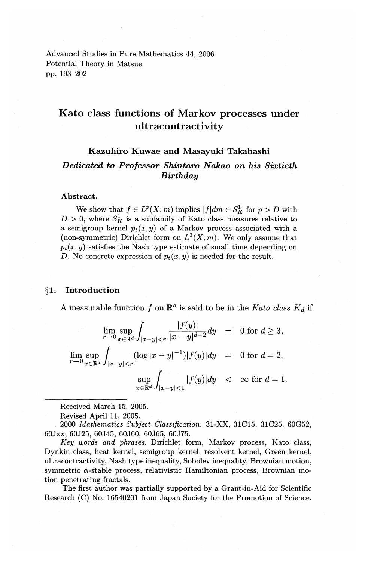Advanced Studies in Pure Mathematics 44, 2006 Potential Theory in Matsue pp. 193-202

# **Kato class functions of Markov processes under ultracontractivity**

## **Kazuhiro Kuwae and Masayuki Takahashi**  *Dedicated to Professor Shintaro Nakao on his Sixtieth Birthday*

#### **Abstract.**

We show that  $f \in L^p(X; m)$  implies  $|f| dm \in S_K^1$  for  $p > D$  with  $D > 0$ , where  $S_K^1$  is a subfamily of Kato class measures relative to a semigroup kernel  $p_t(x, y)$  of a Markov process associated with a (non-symmetric) Dirichlet form on  $L^2(X; m)$ . We only assume that  $p_t(x, y)$  satisfies the Nash type estimate of small time depending on *D.* No concrete expression of  $p_t(x, y)$  is needed for the result.

#### **§1. Introduction**

A measurable function f on  $\mathbb{R}^d$  is said to be in the *Kato class*  $K_d$  if

$$
\lim_{r \to 0} \sup_{x \in \mathbb{R}^d} \int_{|x-y| < r} \frac{|f(y)|}{|x-y|^{d-2}} dy = 0 \text{ for } d \ge 3,
$$
  

$$
\lim_{r \to 0} \sup_{x \in \mathbb{R}^d} \int_{|x-y| < r} (\log |x-y|^{-1}) |f(y)| dy = 0 \text{ for } d = 2,
$$
  

$$
\sup_{x \in \mathbb{R}^d} \int_{|x-y| < 1} |f(y)| dy < \infty \text{ for } d = 1.
$$

Received March 15, 2005.

Revised April **11,** 2005 .

. 2000 *Mathematics Subject Classification.* 31-XX, 31C15, 31C25, 60G52, 60Jxx, 60J25, 60J45, 60J60, 60J65, 60J75.

*Key words and phmses.* Dirichlet form, Markov process, Kato class, Dynkin class, heat kernel, semigroup kernel, resolvent kernel, Green kernel, ultracontractivity, Nash type inequality, Sobolev inequality, Brownian motion, symmetric  $\alpha$ -stable process, relativistic Hamiltonian process, Brownian motion penetrating fractals.

The first author was partially supported by a Grant-in-Aid for Scientific Research (C) No. 16540201 from Japan Society for the Promotion of Science.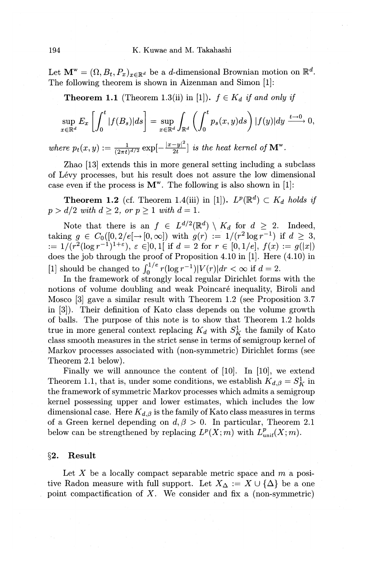Let  $\mathbf{M}^w = (\Omega, B_t, P_x)_{x \in \mathbb{R}^d}$  be a *d*-dimensional Brownian motion on  $\mathbb{R}^d$ . The following theorem is shown in Aizenman and Simon [1]:

**Theorem 1.1** (Theorem 1.3(ii) in [1]).  $f \in K_d$  *if and only if* 

$$
\sup_{x \in \mathbb{R}^d} E_x \left[ \int_0^t |f(B_s)| ds \right] = \sup_{x \in \mathbb{R}^d} \int_{\mathbb{R}^d} \left( \int_0^t p_s(x, y) ds \right) |f(y)| dy \xrightarrow{t \to 0} 0,
$$

*where*  $p_t(x, y) := \frac{1}{(2\pi t)^{d/2}} \exp\left[-\frac{|x-y|^2}{2t}\right]$  *is the heat kernel of*  $\mathbf{M}^w$ .

Zhao [13] extends this in more general setting including a subclass of Levy processes, but his result does not assure the low dimensional case even if the process is  $M^w$ . The following is also shown in [1]:

**Theorem 1.2** (cf. Theorem 1.4(iii) in [1]).  $L^p(\mathbb{R}^d) \subset K_d$  holds if  $p > d/2$  *with*  $d > 2$ , *or*  $p > 1$  *with*  $d = 1$ .

Note that there is an  $f \in L^{d/2}(\mathbb{R}^d) \setminus K_d$  for  $d \geq 2$ . Indeed, taking  $g \in C_0([0, 2/e[ \to [0, \infty])$  with  $g(r) := 1/(r^2 \log r^{-1})$  if  $d \geq 3$ , :=  $1/(r^2(\log r^{-1})^{1+\epsilon}), \epsilon \in ]0,1[$  if  $d = 2$  for  $r \in [0,1/e], f(x) := g(|x|)$ does the job through the proof of Proposition 4.10 in [1]. Here (4.10) in [1] should be changed to  $\int_0^{1/e} r(\log r^{-1}) |V(r)| dr < \infty$  if  $d = 2$ .

In the framework of strongly local regular Dirichlet forms with the notions of volume doubling and weak Poincaré inequality, Biroli and Mosco [3] gave a similar result with Theorem 1.2 (see Proposition 3.7 in [3]). Their definition of Kato class depends on the volume growth of balls. The purpose of this note is to show that Theorem 1.2 holds true in more general context replacing  $K_d$  with  $S_K^1$  the family of Kato class smooth measures in the strict sense in terms of semigroup kernel of Markov processes associated with (non-symmetric) Dirichlet forms (see Theorem 2.1 below).

Finally we will announce the content of [10]. In [10], we extend Theorem 1.1, that is, under some conditions, we establish  $K_{d,\beta} = S_K^1$  in the framework of symmetric Markov processes which admits a semigroup kernel possessing upper and lower estimates, which includes the low dimensional case. Here  $K_{d,\beta}$  is the family of Kato class measures in terms of a Green kernel depending on  $d, \beta > 0$ . In particular, Theorem 2.1 below can be strengthened by replacing  $L^p(X; m)$  with  $L^p_{unif}(X; m)$ .

## §2. Result

Let *X* be a locally compact separable metric space and *m* a positive Radon measure with full support. Let  $X_{\Delta}:= X\cup {\{\Delta\}}$  be a one point compactification of  $X$ . We consider and fix a (non-symmetric)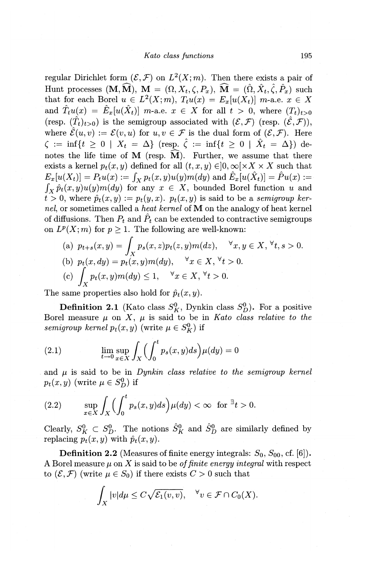regular Dirichlet form  $(\mathcal{E}, \mathcal{F})$  on  $L^2(X; m)$ . Then there exists a pair of Hunt processes  $(M, \widehat{M}), M = (\Omega, X_t, \zeta, P_x), \widehat{M} = (\hat{\Omega}, \hat{X}_t, \hat{\zeta}, \hat{P}_x)$  such that for each Borel  $u \in L^2(X;m)$ ,  $T_tu(x) = E_x[u(X_t)]$  *m*-a.e.  $x \in X$ and  $\hat{T}_t u(x) = \hat{E}_x[u(\hat{X}_t)]$  *m*-a.e.  $x \in X$  for all  $t > 0$ , where  $(T_t)_{t>0}$ (resp.  $(\hat{T}_t)_{t>0}$ ) is the semigroup associated with  $(\mathcal{E}, \mathcal{F})$  (resp.  $(\hat{\mathcal{E}}, \mathcal{F})$ ), where  $\hat{\mathcal{E}}(u, v) := \mathcal{E}(v, u)$  for  $u, v \in \mathcal{F}$  is the dual form of  $(\mathcal{E}, \mathcal{F})$ . Here  $\zeta := \inf\{t \geq 0 \mid X_t = \Delta\}$  (resp.  $\hat{\zeta} := \inf\{t \geq 0 \mid \hat{X}_t = \Delta\}$ ) denotes the life time of M (resp.  $\widehat{M}$ ). Further, we assume that there exists a kernel  $p_t(x, y)$  defined for all  $(t, x, y) \in ]0, \infty[ \times X \times X]$  such that  $E_x[u(X_t)] = P_tu(x) := \int_X p_t(x, y)u(y)m(dy)$  and  $\hat{E}_x[u(\hat{X}_t)] = \hat{P}u(x) :=$  $\int_X \hat{p}_t(x, y)u(y)m(dy)$  for any  $x \in X$ , bounded Borel function *u* and  $t > 0$ , where  $\hat{p}_t(x, y) := p_t(y, x)$ .  $p_t(x, y)$  is said to be a *semigroup kernel,* or sometimes called a *heat kernel* of **M** on the analogy of heat kernel of diffusions. Then  $P_t$  and  $\hat{P}_t$  can be extended to contractive semigroups on  $L^p(X; m)$  for  $p \geq 1$ . The following are well-known:

(a) 
$$
p_{t+s}(x, y) = \int_X p_s(x, z)p_t(z, y)m(dz), \quad \forall x, y \in X, \forall t, s > 0.
$$
  
\n(b)  $p_t(x, dy) = p_t(x, y)m(dy), \quad \forall x \in X, \forall t > 0.$   
\n(c)  $\int_X p_t(x, y)m(dy) \le 1, \quad \forall x \in X, \forall t > 0.$ 

The same properties also hold for  $\hat{p}_t(x, y)$ .

**Definition 2.1** (Kato class  $S_K^0$ , Dynkin class  $S_D^0$ ). For a positive Borel measure  $\mu$  on *X*,  $\mu$  is said to be in *Kato class relative to the semigroup kernel*  $p_t(x, y)$  (write  $\mu \in S_K^0$ ) if

(2.1) 
$$
\lim_{t \to 0} \sup_{x \in X} \int_X \Biggl( \int_0^t p_s(x, y) ds \Biggr) \mu(dy) = 0
$$

and  $\mu$  is said to be in *Dynkin class relative to the semigroup kernel*  $p_t(x, y)$  (write  $\mu \in S_D^0$ ) if

(2.2) 
$$
\sup_{x \in X} \int_X \Biggl(\int_0^t p_s(x,y) ds\Biggr) \mu(dy) < \infty \text{ for } \exists t > 0.
$$

Clearly,  $S_K^0 \subset S_D^0$ . The notions  $\hat{S}_K^0$  and  $\hat{S}_D^0$  are similarly defined by replacing  $p_t(x, y)$  with  $\hat{p}_t(x, y)$ .

**Definition 2.2** (Measures of finite energy integrals:  $S_0$ ,  $S_{00}$ , cf. [6]). A Borel measure  $\mu$  on X is said to be *of finite energy integral* with respect to  $(\mathcal{E}, \mathcal{F})$  (write  $\mu \in S_0$ ) if there exists  $C > 0$  such that

$$
\int_X |v| d\mu \leq C \sqrt{\mathcal{E}_1(v,v)}, \quad \forall v \in \mathcal{F} \cap C_0(X).
$$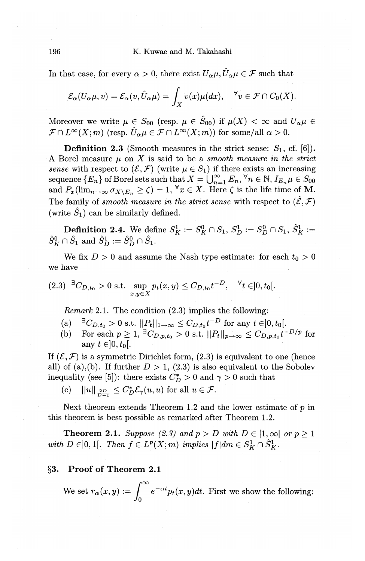196 K. Kuwae and M. Takahashi

In that case, for every  $\alpha > 0$ , there exist  $U_{\alpha}\mu, \hat{U}_{\alpha}\mu \in \mathcal{F}$  such that

$$
\mathcal{E}_{\alpha}(U_{\alpha}\mu,v)=\mathcal{E}_{\alpha}(v,\hat{U}_{\alpha}\mu)=\int_X v(x)\mu(dx),\quad \forall v\in\mathcal{F}\cap C_0(X).
$$

Moreover we write  $\mu \in S_{00}$  (resp.  $\mu \in \hat{S}_{00}$ ) if  $\mu(X) < \infty$  and  $U_{\alpha}\mu \in$  $\mathcal{F} \cap L^{\infty}(X;m)$  (resp.  $\hat{U}_{\alpha}\mu \in \mathcal{F} \cap L^{\infty}(X;m)$ ) for some/all  $\alpha > 0$ .

**Definition 2.3** (Smooth measures in the strict sense:  $S_1$ , cf. [6]). A Borel measure  $\mu$  on  $X$  is said to be a *smooth measure in the strict sense* with respect to  $(\mathcal{E}, \mathcal{F})$  (write  $\mu \in S_1$ ) if there exists an increasing  $\text{sequence } \{E_n\} \text{ of Borel sets such that } X= \bigcup_{n=1}^{\infty} E_n, \, ^\forall n \in \mathbb{N}, \, I_{E_n} \mu \in S_{00}$ and  $P_x(\lim_{n\to\infty}\sigma_{X\setminus E_n}\geq \zeta) = 1, \forall x\in X$ . Here  $\zeta$  is the life time of M. The family of *smooth measure in the strict sense* with respect to  $(\hat{\mathcal{E}}, \mathcal{F})$ (write  $S_1$ ) can be similarly defined.

**Definition 2.4.** We define  $S_K^1 := S_K^0 \cap S_1$ ,  $S_D^1 := S_D^0 \cap S_1$ ,  $\hat{S}_K^1 :=$  $\hat{S}_K^0 \cap \hat{S}_1$  and  $\hat{S}_D^1 := \hat{S}_D^0 \cap \hat{S}_1$ .

We fix  $D > 0$  and assume the Nash type estimate: for each  $t_0 > 0$ we have

$$
(2.3) \quad {}^{\exists}C_{D,t_0} > 0 \text{ s.t. } \sup_{x,y \in X} p_t(x,y) \leq C_{D,t_0} t^{-D}, \quad \forall t \in ]0, t_0[.
$$

*Remark* 2.1. The condition (2.3) implies the following:

- $\text{(a)} \quad {}^{\exists}C_{D,t_0} > 0 \text{ s.t. } ||P_t||_{1\to\infty} \leq C_{D,t_0}t^{-D} \text{ for any } t \in ]0,t_0[.$
- (b) For each  $p \ge 1$ ,  ${}^{\exists}C_{D,p,t_0} > 0$  s.t.  $||P_t||_{p \to \infty} \le C_{D,p,t_0} t^{-D/p}$  for any  $t \in ]0, t_0[$ .

If  $(\mathcal{E}, \mathcal{F})$  is a symmetric Dirichlet form,  $(2.3)$  is equivalent to one (hence all) of (a),(b). If further  $D > 1$ , (2.3) is also equivalent to the Sobolev inequality (see [5]): there exists  $C_D^* > 0$  and  $\gamma > 0$  such that

(c) 
$$
||u||_{\frac{2D}{D}} \leq C_D^* \mathcal{E}_{\gamma}(u, u)
$$
 for all  $u \in \mathcal{F}$ .

Next theorem extends Theorem 1.2 and the lower estimate of  $p$  in this theorem is best possible as remarked after Theorem 1.2.

**Theorem 2.1.** *Suppose* (2.3) and  $p > D$  with  $D \in [1, \infty)$  or  $p \ge 1$ *with*  $D \in ]0,1[$ . *Then*  $f \in L^p(X;m)$  *implies*  $|f|dm \in S_K^1 \cap \hat{S}_K^1$ .

## **§3. Proof of Theorem 2.1**

We set  $r_{\alpha}(x,y) := \int_{0}^{\infty} e^{-\alpha t} p_t(x,y) dt$ . First we show the following: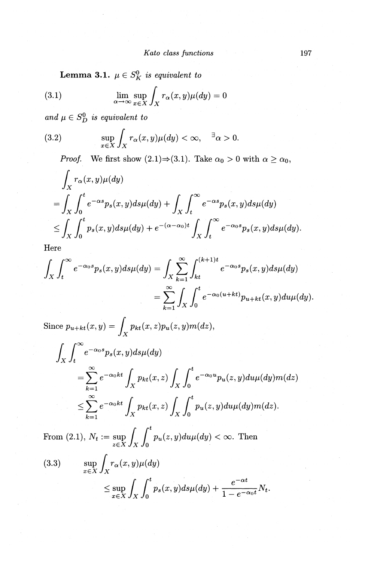**Lemma 3.1.**  $\mu \in S_K^0$  is equivalent to

(3.1) 
$$
\lim_{\alpha \to \infty} \sup_{x \in X} \int_X r_\alpha(x, y) \mu(dy) = 0
$$

*and*  $\mu \in S_D^0$  *is equivalent to* 

(3.2) 
$$
\sup_{x \in X} \int_X r_\alpha(x, y) \mu(dy) < \infty, \quad \exists \alpha > 0.
$$

*Proof.* We first show  $(2.1) \Rightarrow (3.1)$ . Take  $\alpha_0 > 0$  with  $\alpha \ge \alpha_0$ ,

$$
\int_X r_\alpha(x, y)\mu(dy)
$$
  
= 
$$
\int_X \int_0^t e^{-\alpha s} p_s(x, y) ds \mu(dy) + \int_X \int_t^\infty e^{-\alpha s} p_s(x, y) ds \mu(dy)
$$
  

$$
\leq \int_X \int_0^t p_s(x, y) ds \mu(dy) + e^{-(\alpha - \alpha_0)t} \int_X \int_t^\infty e^{-\alpha_0 s} p_s(x, y) ds \mu(dy).
$$

Here

$$
\int_X \int_t^\infty e^{-\alpha_0 s} p_s(x, y) ds \mu(dy) = \int_X \sum_{k=1}^\infty \int_{kt}^{(k+1)t} e^{-\alpha_0 s} p_s(x, y) ds \mu(dy)
$$

$$
= \sum_{k=1}^\infty \int_X \int_0^t e^{-\alpha_0(u+kt)} p_{u+kt}(x, y) du \mu(dy).
$$

Since  $p_{u+kt}(x, y) = \int_Y p_{kt}(x, z)p_u(z, y)m(dz),$ 

$$
\int_{X} \int_{t}^{\infty} e^{-\alpha_0 s} p_s(x, y) ds \mu(dy)
$$
\n
$$
= \sum_{k=1}^{\infty} e^{-\alpha_0 kt} \int_{X} p_{kt}(x, z) \int_{X} \int_{0}^{t} e^{-\alpha_0 u} p_u(z, y) du \mu(dy) m(dz)
$$
\n
$$
\leq \sum_{k=1}^{\infty} e^{-\alpha_0 kt} \int_{X} p_{kt}(x, z) \int_{X} \int_{0}^{t} p_u(z, y) du \mu(dy) m(dz).
$$

From (2.1),  $N_t := \sup_{z \in X} \int_X \int_0^t p_u(z, y) du \mu(dy) < \infty$ . Then

(3.3) 
$$
\sup_{x \in X} \int_X r_\alpha(x, y) \mu(dy)
$$

$$
\leq \sup_{x \in X} \int_X \int_0^t p_s(x, y) ds \mu(dy) + \frac{e^{-\alpha t}}{1 - e^{-\alpha_0 t}} N_t.
$$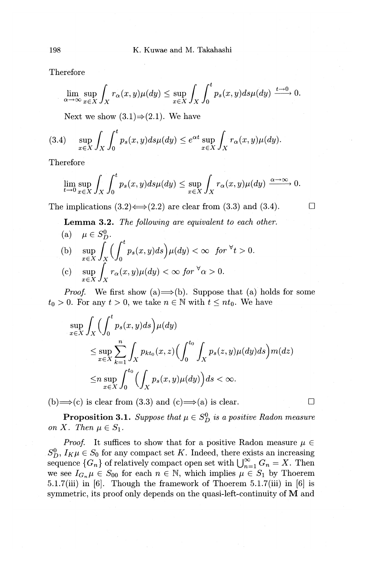Therefore

$$
\lim_{\alpha \to \infty} \sup_{x \in X} \int_X r_\alpha(x, y) \mu(dy) \le \sup_{x \in X} \int_X \int_0^t p_s(x, y) ds \mu(dy) \xrightarrow{t \to 0} 0.
$$

Next we show  $(3.1) \Rightarrow (2.1)$ . We have

$$
(3.4) \quad \sup_{x \in X} \int_X \int_0^t p_s(x, y) ds \mu(dy) \leq e^{\alpha t} \sup_{x \in X} \int_X r_\alpha(x, y) \mu(dy).
$$

Therefore

$$
\lim_{t \to 0} \sup_{x \in X} \int_X \int_0^t p_s(x, y) ds \mu(dy) \le \sup_{x \in X} \int_X r_\alpha(x, y) \mu(dy) \xrightarrow{\alpha \to \infty} 0.
$$

The implications  $(3.2) \leftrightarrow (2.2)$  are clear from  $(3.3)$  and  $(3.4)$ .  $\Box$ 

**Lemma 3.2.** *The following are equivalent to each other.* 

(a)  $\mu \in S_D^0$ . (b)  $\sup_{x \in X} \int_X \left( \int_0^b p_s(x,y) ds \right) \mu(dy) < \infty$  for  $\forall t > 0$ .

(c) 
$$
\sup_{x \in X} \int_X r_\alpha(x, y) \mu(dy) < \infty \text{ for } \forall \alpha > 0.
$$

*Proof.* We first show (a)  $\Longrightarrow$  (b). Suppose that (a) holds for some  $t_0 > 0$ . For any  $t > 0$ , we take  $n \in \mathbb{N}$  with  $t \leq nt_0$ . We have

$$
\sup_{x \in X} \int_X \Big( \int_0^t p_s(x, y) ds \Big) \mu(dy)
$$
\n
$$
\leq \sup_{x \in X} \sum_{k=1}^n \int_X p_{kt_0}(x, z) \Big( \int_0^{t_0} \int_X p_s(z, y) \mu(dy) ds \Big) m(dz)
$$
\n
$$
\leq n \sup_{x \in X} \int_0^{t_0} \Big( \int_X p_s(x, y) \mu(dy) \Big) ds < \infty.
$$

(b)  $\Rightarrow$  (c) is clear from (3.3) and (c)  $\Rightarrow$  (a) is clear.

**Proposition 3.1.** *Suppose that*  $\mu \in S_D^0$  *is a positive Radon measure on X.* Then  $\mu \in S_1$ .

*Proof.* It suffices to show that for a positive Radon measure  $\mu \in$  $S_D^0$ ,  $I_K \mu \in S_0$  for any compact set *K*. Indeed, there exists an increasing sequence  ${G_n}$  of relatively compact open set with  $\bigcup_{n=1}^{\infty} G_n = X$ . Then we see  $I_{G_n}\mu \in S_{00}$  for each  $n \in \mathbb{N}$ , which implies  $\mu \in S_1$  by Thoerem 5.1.7(iii) in (6]. Though the framework of Thoerem 5.1.7(iii) in [6] is symmetric, its proof only depends on the quasi-left-continuity of **M** and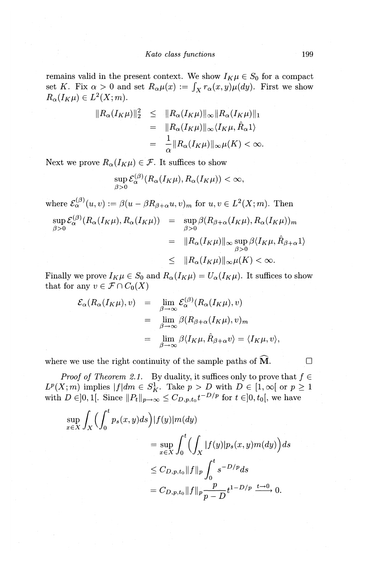remains valid in the present context. We show  $I_K \mu \in S_0$  for a compact set *K*. Fix  $\alpha > 0$  and set  $R_{\alpha}\mu(x) := \int_X r_{\alpha}(x, y) \mu(dy)$ . First we show  $R_{\alpha}(I_K\mu) \in L^2(X;m).$ 

$$
||R_{\alpha}(I_K\mu)||_2^2 \leq ||R_{\alpha}(I_K\mu)||_{\infty} ||R_{\alpha}(I_K\mu)||_1
$$
  
= 
$$
||R_{\alpha}(I_K\mu)||_{\infty} \langle I_K\mu, \hat{R}_{\alpha}1 \rangle
$$
  
= 
$$
\frac{1}{\alpha} ||R_{\alpha}(I_K\mu)||_{\infty} \mu(K) < \infty.
$$

Next we prove  $R_{\alpha}(I_K\mu) \in \mathcal{F}$ . It suffices to show

$$
\sup_{\beta>0}\mathcal{E}_{\alpha}^{(\beta)}(R_{\alpha}(I_K\mu),R_{\alpha}(I_K\mu))<\infty,
$$

where  $\mathcal{E}_{\alpha}^{(\beta)}(u,v) := \beta(u-\beta R_{\beta+\alpha}u,v)_m$  for  $u,v \in L^2(X;m)$ . Then

$$
\sup_{\beta>0} \mathcal{E}_{\alpha}^{(\beta)}(R_{\alpha}(I_K\mu), R_{\alpha}(I_K\mu)) = \sup_{\beta>0} \beta(R_{\beta+\alpha}(I_K\mu), R_{\alpha}(I_K\mu))_m
$$
  

$$
= \|R_{\alpha}(I_K\mu)\|_{\infty} \sup_{\beta>0} \beta\langle I_K\mu, \hat{R}_{\beta+\alpha}1\rangle
$$
  

$$
\leq \|R_{\alpha}(I_K\mu)\|_{\infty} \mu(K) < \infty.
$$

Finally we prove  $I_K \mu \in S_0$  and  $R_\alpha(I_K \mu) = U_\alpha(I_K \mu)$ . It suffices to show that for any  $v \in \mathcal{F} \cap C_0(X)$ 

$$
\mathcal{E}_{\alpha}(R_{\alpha}(I_K \mu), v) = \lim_{\beta \to \infty} \mathcal{E}_{\alpha}^{(\beta)}(R_{\alpha}(I_K \mu), v)
$$
  

$$
= \lim_{\beta \to \infty} \beta(R_{\beta + \alpha}(I_K \mu), v)_m
$$
  

$$
= \lim_{\beta \to \infty} \beta\langle I_K \mu, \hat{R}_{\beta + \alpha} v \rangle = \langle I_K \mu, v \rangle,
$$

where we use the right continuity of the sample paths of  $\overline{M}$ .  $\Box$ 

*Proof of Theorem 2.1.* By duality, it suffices only to prove that  $f \in$  $L^p(X; m)$  implies  $|f|dm \in S^1_K$ . Take  $p > D$  with  $D \in [1, \infty]$  or  $p \ge 1$ with  $D \in ]0,1[$ . Since  $||P_t||_{p\to\infty} \leq C_{D,p,t_0}t^{-D/p}$  for  $t \in ]0,t_0[$ , we have

$$
\sup_{x \in X} \int_X \Big( \int_0^t p_s(x, y) ds \Big) |f(y)| m(dy)
$$
  
= 
$$
\sup_{x \in X} \int_0^t \Big( \int_X |f(y)| p_s(x, y) m(dy) \Big) ds
$$
  

$$
\leq C_{D, p, t_0} ||f||_p \int_0^t s^{-D/p} ds
$$
  
= 
$$
C_{D, p, t_0} ||f||_p \frac{p}{p - D} t^{1 - D/p} \xrightarrow{t \to 0} 0.
$$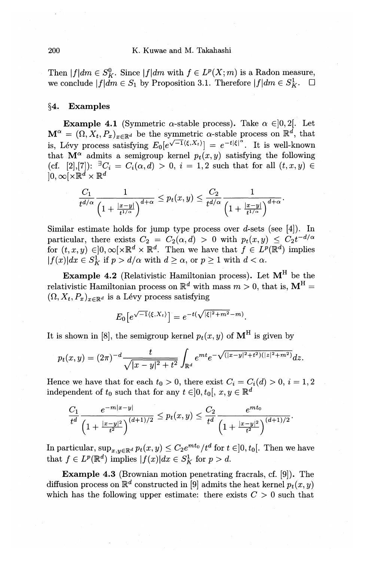Then  $|f|dm \in S_K^0$ . Since  $|f|dm$  with  $f \in L^p(X; m)$  is a Radon measure, we conclude  $|f|dm \in S_1$  by Proposition 3.1. Therefore  $|f|dm \in S_K^1$ .  $\Box$ 

## **§4. Examples**

**Example 4.1** (Symmetric  $\alpha$ -stable process). Take  $\alpha \in ]0,2[$ . Let  $\mathbf{M}^{\alpha} = (\Omega, X_t, P_x)_{x \in \mathbb{R}^d}$  be the symmetric  $\alpha$ -stable process on  $\mathbb{R}^d$ , that is, Lévy process satisfying  $E_0[e^{\sqrt{-1}\langle \xi, X_t\rangle}] = e^{-t|\xi|^{\alpha}}$ . It is well-known that  $\mathbf{M}^{\alpha}$  admits a semigroup kernel  $p_t(x, y)$  satisfying the following  $(\text{cf. } [2],[7])$ :  $\exists C_i = C_i(\alpha,d) > 0, i = 1,2 \text{ such that for all } (t,x,y) \in$  $]0,\infty[\times \mathbb{R}^d \times \mathbb{R}^d$ 

$$
\frac{C_1}{t^{d/\alpha}}\frac{1}{\left(1+\frac{|x-y|}{t^{1/\alpha}}\right)^{d+\alpha}}\leq p_t(x,y)\leq \frac{C_2}{t^{d/\alpha}}\frac{1}{\left(1+\frac{|x-y|}{t^{1/\alpha}}\right)^{d+\alpha}}.
$$

Similar estimate holds for jump type process over d-sets (see [4]). In particular, there exists  $C_2 = C_2(\alpha, d) > 0$  with  $p_t(x, y) \leq C_2 t^{-d/\alpha}$ for  $(t, x, y) \in ]0, \infty[ \times \mathbb{R}^d \times \mathbb{R}^d$ . Then we have that  $f \in L^p(\mathbb{R}^d)$  implies  $|f(x)|dx \in S_K^1$  if  $p > d/\alpha$  with  $d \geq \alpha$ , or  $p \geq 1$  with  $d < \alpha$ .

**Example 4.2** (Relativistic Hamiltonian process). Let MH be the relativistic Hamiltonian process on  $\mathbb{R}^d$  with mass  $m > 0$ , that is,  $M^H =$  $(\Omega, X_t, P_x)_{x \in \mathbb{R}^d}$  is a Lévy process satisfying

$$
E_0\big[e^{\sqrt{-1}\langle\xi,X_t\rangle}\big] = e^{-t(\sqrt{|\xi|^2+m^2}-m)}.
$$

It is shown in [8], the semigroup kernel  $p_t(x, y)$  of  $\mathbf{M}^H$  is given by

$$
p_t(x,y) = (2\pi)^{-d} \frac{t}{\sqrt{|x-y|^2 + t^2}} \int_{\mathbb{R}^d} e^{mt} e^{-\sqrt{(|x-y|^2 + t^2)(|z|^2 + m^2)}} dz.
$$

Hence we have that for each  $t_0 > 0$ , there exist  $C_i = C_i(d) > 0$ ,  $i = 1, 2$ independent of  $t_0$  such that for any  $t \in ]0, t_0[$ ,  $x, y \in \mathbb{R}^d$ 

$$
\frac{C_1}{t^d}\frac{e^{-m|x-y|}}{\left(1+\frac{|x-y|^2}{t^2}\right)^{(d+1)/2}}\leq p_t(x,y)\leq \frac{C_2}{t^d}\frac{e^{mt_0}}{\left(1+\frac{|x-y|^2}{t^2}\right)^{(d+1)/2}}.
$$

In particular,  $\sup_{x,y\in\mathbb{R}^d} p_t(x,y) \leq C_2 e^{mt_0}/t^d$  for  $t \in ]0, t_0[$ . Then we have that  $f \in L^p(\mathbb{R}^d)$  implies  $|f(x)|dx \in S^1$  for  $p > d$ .

**Example** 4.3 (Brownian motion penetrating fracrals, cf. [9]). The diffusion process on  $\mathbb{R}^d$  constructed in [9] admits the heat kernel  $p_t(x, y)$ which has the following upper estimate: there exists  $C > 0$  such that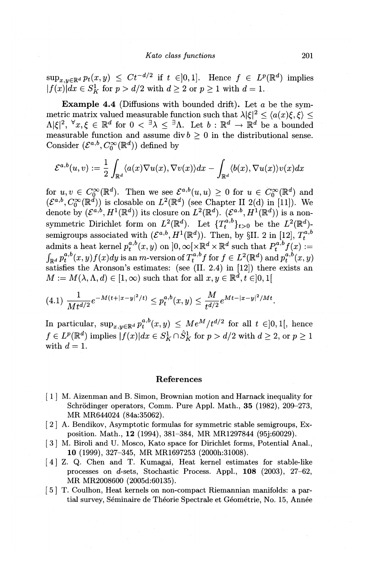$\sup_{x,y\in\mathbb{R}^d} p_t(x,y) \leq Ct^{-d/2}$  if  $t \in ]0,1]$ . Hence  $f \in L^p(\mathbb{R}^d)$  implies  $|f(x)|dx \in S_K^1$  for  $p > d/2$  with  $d \ge 2$  or  $p \ge 1$  with  $d = 1$ .

**Example 4.4** (Diffusions with bounded drift). Let a be the symmetric matrix valued measurable function such that  $\lambda |\xi|^2 \leq \langle a(x)\xi, \xi \rangle \leq 1$  $\Lambda |\xi|^2, \forall x,\xi \in \mathbb{R}^d \text{ for } 0 < \exists \lambda \leq \exists \Lambda. \text{ Let } b : \mathbb{R}^d \to \mathbb{R}^d \text{ be a bounded }$ measurable function and assume div  $b \geq 0$  in the distributional sense. Consider  $(\mathcal{E}^{a,b}, C_0^{\infty}(\mathbb{R}^d))$  defined by

$$
\mathcal{E}^{a,b}(u,v):=\frac{1}{2}\int_{\mathbb{R}^d}\langle a(x)\nabla u(x),\nabla v(x)\rangle dx-\int_{\mathbb{R}^d}\langle b(x),\nabla u(x)\rangle v(x)dx
$$

for  $u, v \in C_0^{\infty}(\mathbb{R}^d)$ . Then we see  $\mathcal{E}^{a,b}(u,u) \geq 0$  for  $u \in C_0^{\infty}(\mathbb{R}^d)$  and  $(\mathcal{E}^{a,b}, \mathcal{C}_0^{\infty}(\mathbb{R}^d))$  is closable on  $L^2(\mathbb{R}^d)$  (see Chapter II 2(d) in [11]). We  $\det \det \mathrm{d} y \; ({\cal E}^{a,b}, H^1({\mathbb{R}^d})) \; \text{its closure on} \; L^2({\mathbb{R}^d}). \; ({\cal E}^{a.b}, H^1({\mathbb{R}^d})) \; \text{is a non-} \; \text{is a non-} \; \text{is a non-} \; \text{is a non-} \; \text{is a non-} \; \text{is a non-} \; \text{is a non-} \; \text{is a non-} \; \text{is a non-} \; \text{is a non-} \; \text{is a non-} \; \text{is a non-} \; \text{is a non-} \; \text{is a non$ symmetric Dirichlet form on  $L^2(\mathbb{R}^d)$ . Let  $\{T_t^{a,b}\}_{t>0}$  be the  $L^2(\mathbb{R}^d)$ semigroups associated with  $(\mathcal{E}^{a,b}, H^1(\mathbb{R}^d))$ . Then, by §II. 2 in [12],  $T_t^{a,b}$ admits a heat kernel  $p_t^{a,b}(x, y)$  on  $]0, \infty[\times \mathbb{R}^d \times \mathbb{R}^d$  such that  $P_t^{a,b} f(x) :=$  $\int_{\mathbb{R}^d} p_t^{a,b}(x,y) f(x) dy$  is an *m*-version of  $T_t^{a,b} f$  for  $f \in L^2(\mathbb{R}^d)$  and  $p_t^{a,b}(x,y)$ satisfies the Aronson's estimates: (see (II. 2.4) in [12]) there exists an  $M := M(\lambda, \Lambda, d) \in [1, \infty)$  such that for all  $x, y \in \mathbb{R}^d, t \in ]0, 1[$ 

$$
(4.1) \frac{1}{Mt^{d/2}}e^{-M(t+|x-y|^2/t)} \le p_t^{a,b}(x,y) \le \frac{M}{t^{d/2}}e^{Mt-|x-y|^2/Mt}.
$$

In particular,  $\sup_{x,y\in\mathbb{R}^d} p_t^{a,b}(x,y) \leq Me^M/t^{d/2}$  for all  $t \in ]0,1[$ , hence  $f \in L^p(\mathbb{R}^d)$  implies  $|f(x)|dx \in S^1_K \cap \hat{S}^1_K$  for  $p > d/2$  with  $d \geq 2$ , or  $p \geq 1$ with  $d=1$ .

#### **References**

- [ **1]** M. Aizenman and B. Simon, Brownian motion and Harnack inequality for Schrödinger operators, Comm. Pure Appl. Math., **35** (1982), 209-273, MR MR644024 (84a:35062).
- [ 2] A. Bendikov, Asymptotic formulas for symmetric stable semigroups, Exposition. Math., **12** (1994), 381-384, MR MR1297844 (95j:60029).
- [ 3] M. Biroli and U. Mosco, Kato space for Dirichlet forms, Potential Anal., **10** (1999), 327-345, MR MR1697253 (2000h:31008).
- [ 4] Z. Q. Chen and T. Kumagai, Heat kernel estimates for stable-like processes on *d-sets,* Stochastic Process. Appl., **108** (2003), 27-62, MR MR2008600 (2005d:60135).
- [ 5] T. Coulhon, Heat kernels on non-compact Riemannian manifolds: a partial survey, Séminaire de Théorie Spectrale et Géométrie, No. 15, Année